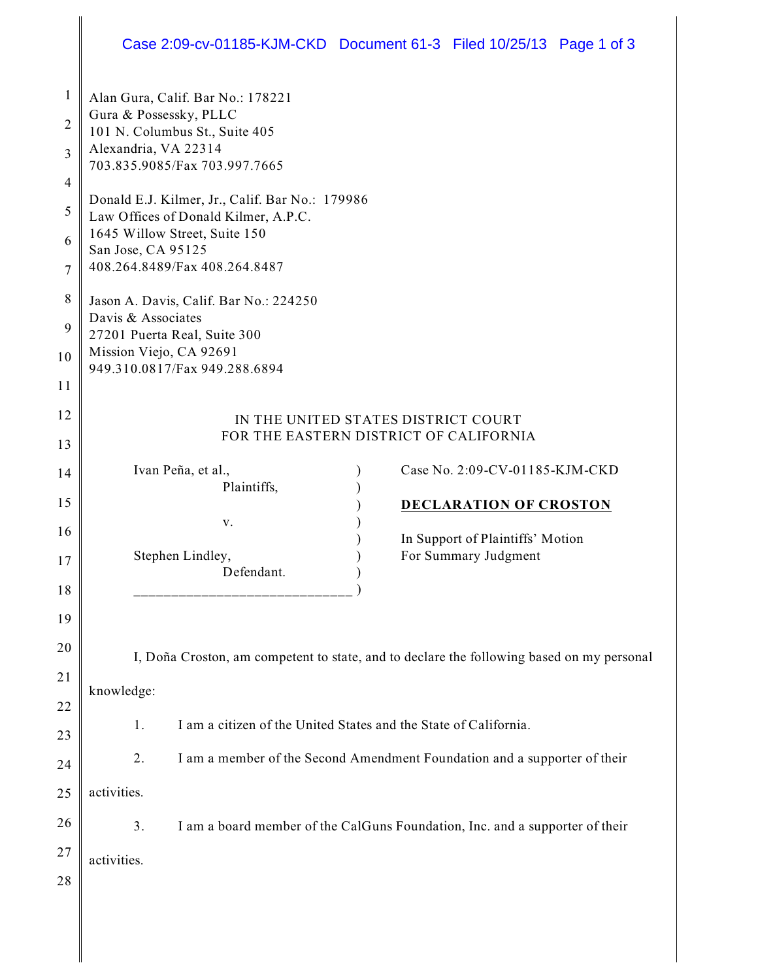## Case 2:09-cv-01185-KJM-CKD Document 61-3 Filed 10/25/13 Page 1 of 3

| $\mathbf{1}$<br>$\overline{2}$<br>3<br>4 | Alan Gura, Calif. Bar No.: 178221<br>Gura & Possessky, PLLC<br>101 N. Columbus St., Suite 405<br>Alexandria, VA 22314<br>703.835.9085/Fax 703.997.7665 |
|------------------------------------------|--------------------------------------------------------------------------------------------------------------------------------------------------------|
| 5                                        | Donald E.J. Kilmer, Jr., Calif. Bar No.: 179986<br>Law Offices of Donald Kilmer, A.P.C.<br>1645 Willow Street, Suite 150                               |
| 6<br>7                                   | San Jose, CA 95125<br>408.264.8489/Fax 408.264.8487                                                                                                    |
| 8<br>9                                   | Jason A. Davis, Calif. Bar No.: 224250<br>Davis & Associates<br>27201 Puerta Real, Suite 300                                                           |
| 10<br>11                                 | Mission Viejo, CA 92691<br>949.310.0817/Fax 949.288.6894                                                                                               |
| 12                                       | IN THE UNITED STATES DISTRICT COURT                                                                                                                    |
| 13                                       | FOR THE EASTERN DISTRICT OF CALIFORNIA                                                                                                                 |
| 14                                       | Case No. 2:09-CV-01185-KJM-CKD<br>Ivan Peña, et al.,                                                                                                   |
| 15                                       | Plaintiffs,<br><b>DECLARATION OF CROSTON</b>                                                                                                           |
| 16                                       | V.<br>In Support of Plaintiffs' Motion                                                                                                                 |
| 17                                       | For Summary Judgment<br>Stephen Lindley,<br>Defendant.                                                                                                 |
| 18                                       |                                                                                                                                                        |
| 19                                       |                                                                                                                                                        |
| 20                                       | I, Doña Croston, am competent to state, and to declare the following based on my personal                                                              |
| 21                                       | knowledge:                                                                                                                                             |
| 22                                       | I am a citizen of the United States and the State of California.<br>1.                                                                                 |
| 23                                       |                                                                                                                                                        |
| 24                                       | 2.<br>I am a member of the Second Amendment Foundation and a supporter of their                                                                        |
| 25                                       | activities.                                                                                                                                            |
| 26                                       | 3.<br>I am a board member of the CalGuns Foundation, Inc. and a supporter of their                                                                     |
| 27                                       | activities.                                                                                                                                            |
| 28                                       |                                                                                                                                                        |
|                                          |                                                                                                                                                        |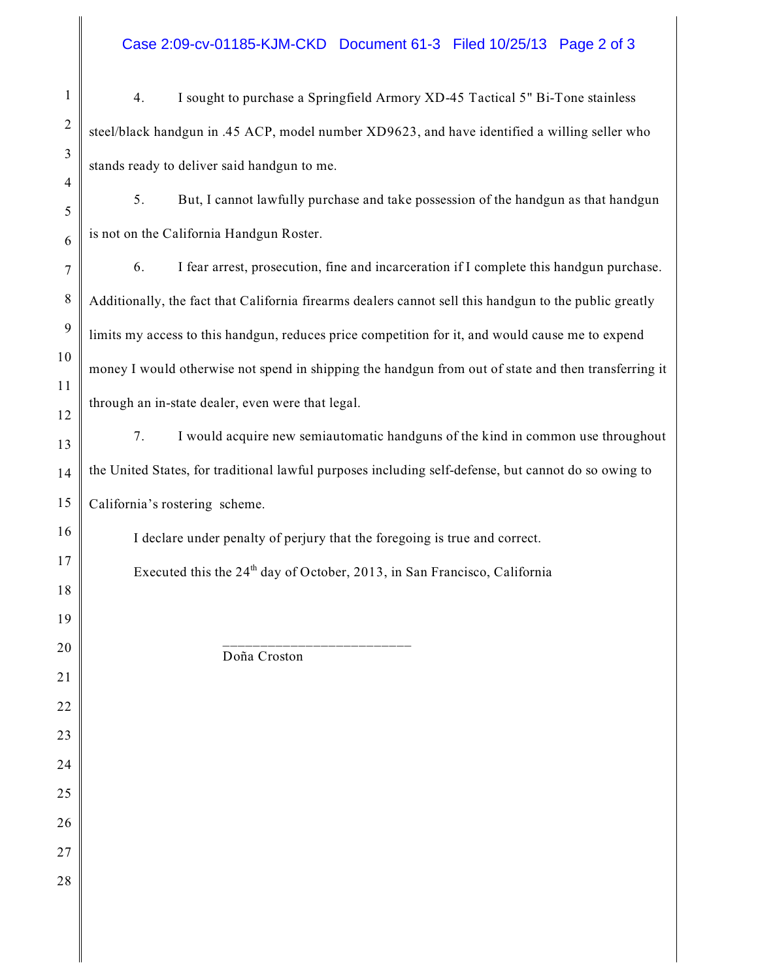## Case 2:09-cv-01185-KJM-CKD Document 61-3 Filed 10/25/13 Page 2 of 3

| 1              | I sought to purchase a Springfield Armory XD-45 Tactical 5" Bi-Tone stainless<br>4.                    |
|----------------|--------------------------------------------------------------------------------------------------------|
| $\overline{2}$ | steel/black handgun in .45 ACP, model number XD9623, and have identified a willing seller who          |
| 3              | stands ready to deliver said handgun to me.                                                            |
| 4<br>5         | But, I cannot lawfully purchase and take possession of the handgun as that handgun<br>5.               |
| 6              | is not on the California Handgun Roster.                                                               |
| $\overline{7}$ | I fear arrest, prosecution, fine and incarceration if I complete this handgun purchase.<br>6.          |
| 8              | Additionally, the fact that California firearms dealers cannot sell this handgun to the public greatly |
| 9              | limits my access to this handgun, reduces price competition for it, and would cause me to expend       |
| 10             | money I would otherwise not spend in shipping the handgun from out of state and then transferring it   |
| 11<br>12       | through an in-state dealer, even were that legal.                                                      |
| 13             | I would acquire new semiautomatic handguns of the kind in common use throughout<br>7.                  |
| 14             | the United States, for traditional lawful purposes including self-defense, but cannot do so owing to   |
| 15             | California's rostering scheme.                                                                         |
| 16             | I declare under penalty of perjury that the foregoing is true and correct.                             |
| 17             | Executed this the $24th$ day of October, 2013, in San Francisco, California                            |
| 18             |                                                                                                        |
| 19<br>20       |                                                                                                        |
| 21             | Doña Croston                                                                                           |
| 22             |                                                                                                        |
| 23             |                                                                                                        |
| 24             |                                                                                                        |
| 25             |                                                                                                        |
| 26             |                                                                                                        |
| 27             |                                                                                                        |
| 28             |                                                                                                        |
|                |                                                                                                        |